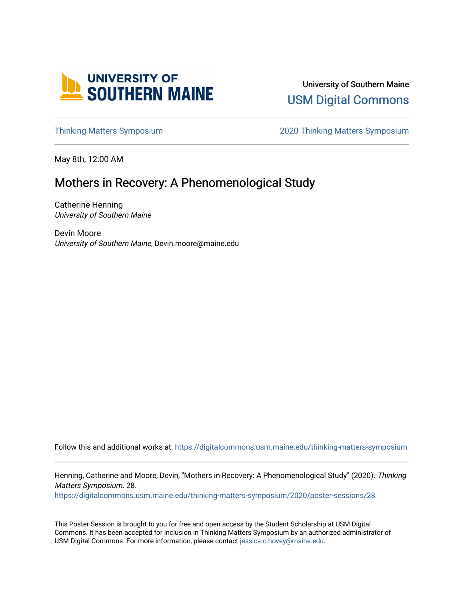

University of Southern Maine [USM Digital Commons](https://digitalcommons.usm.maine.edu/) 

[Thinking Matters Symposium](https://digitalcommons.usm.maine.edu/thinking-matters-symposium) [2020 Thinking Matters Symposium](https://digitalcommons.usm.maine.edu/thinking-matters-symposium/2020) 

May 8th, 12:00 AM

#### Mothers in Recovery: A Phenomenological Study

Catherine Henning University of Southern Maine

Devin Moore University of Southern Maine, Devin.moore@maine.edu

Follow this and additional works at: [https://digitalcommons.usm.maine.edu/thinking-matters-symposium](https://digitalcommons.usm.maine.edu/thinking-matters-symposium?utm_source=digitalcommons.usm.maine.edu%2Fthinking-matters-symposium%2F2020%2Fposter-sessions%2F28&utm_medium=PDF&utm_campaign=PDFCoverPages) 

Henning, Catherine and Moore, Devin, "Mothers in Recovery: A Phenomenological Study" (2020). Thinking Matters Symposium. 28.

[https://digitalcommons.usm.maine.edu/thinking-matters-symposium/2020/poster-sessions/28](https://digitalcommons.usm.maine.edu/thinking-matters-symposium/2020/poster-sessions/28?utm_source=digitalcommons.usm.maine.edu%2Fthinking-matters-symposium%2F2020%2Fposter-sessions%2F28&utm_medium=PDF&utm_campaign=PDFCoverPages) 

This Poster Session is brought to you for free and open access by the Student Scholarship at USM Digital Commons. It has been accepted for inclusion in Thinking Matters Symposium by an authorized administrator of USM Digital Commons. For more information, please contact [jessica.c.hovey@maine.edu](mailto:ian.fowler@maine.edu).